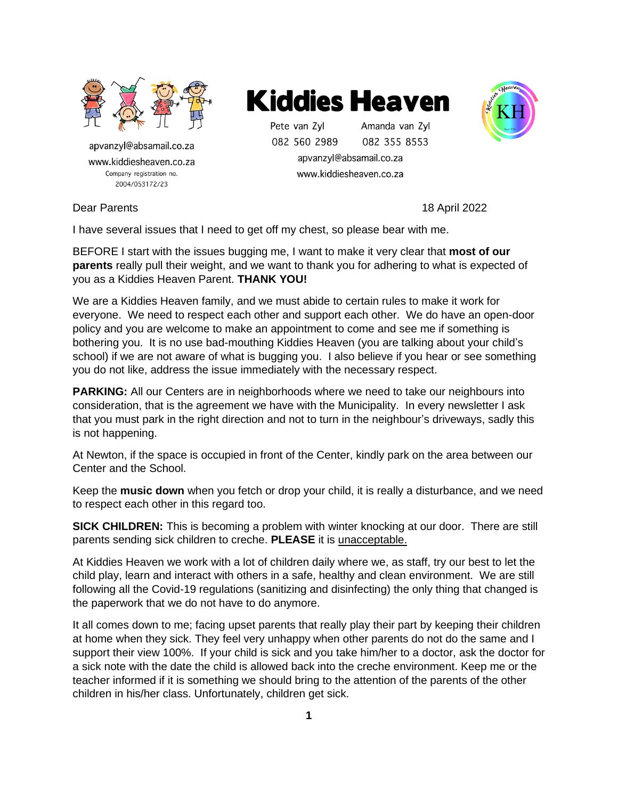

apvanzyl@absamail.co.za www.kiddiesheaven.co.za Company registration no. 2004/053172/23



Pete van Zvl Amanda van Zyl 082 560 2989 082 355 8553

apvanzyl@absamail.co.za www.kiddiesheaven.co.za



Dear Parents 18 April 2022

I have several issues that I need to get off my chest, so please bear with me.

BEFORE I start with the issues bugging me, I want to make it very clear that **most of our parents** really pull their weight, and we want to thank you for adhering to what is expected of you as a Kiddies Heaven Parent. **THANK YOU!**

We are a Kiddies Heaven family, and we must abide to certain rules to make it work for everyone. We need to respect each other and support each other. We do have an open-door policy and you are welcome to make an appointment to come and see me if something is bothering you. It is no use bad-mouthing Kiddies Heaven (you are talking about your child's school) if we are not aware of what is bugging you. I also believe if you hear or see something you do not like, address the issue immediately with the necessary respect.

**PARKING:** All our Centers are in neighborhoods where we need to take our neighbours into consideration, that is the agreement we have with the Municipality. In every newsletter I ask that you must park in the right direction and not to turn in the neighbour's driveways, sadly this is not happening.

At Newton, if the space is occupied in front of the Center, kindly park on the area between our Center and the School.

Keep the **music down** when you fetch or drop your child, it is really a disturbance, and we need to respect each other in this regard too.

**SICK CHILDREN:** This is becoming a problem with winter knocking at our door. There are still parents sending sick children to creche. **PLEASE** it is unacceptable.

At Kiddies Heaven we work with a lot of children daily where we, as staff, try our best to let the child play, learn and interact with others in a safe, healthy and clean environment. We are still following all the Covid-19 regulations (sanitizing and disinfecting) the only thing that changed is the paperwork that we do not have to do anymore.

It all comes down to me; facing upset parents that really play their part by keeping their children at home when they sick. They feel very unhappy when other parents do not do the same and I support their view 100%. If your child is sick and you take him/her to a doctor, ask the doctor for a sick note with the date the child is allowed back into the creche environment. Keep me or the teacher informed if it is something we should bring to the attention of the parents of the other children in his/her class. Unfortunately, children get sick.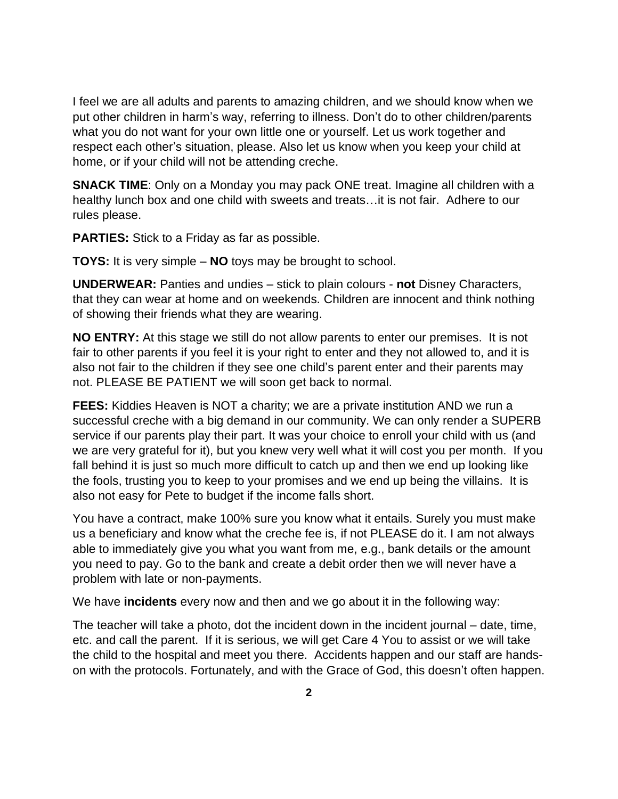I feel we are all adults and parents to amazing children, and we should know when we put other children in harm's way, referring to illness. Don't do to other children/parents what you do not want for your own little one or yourself. Let us work together and respect each other's situation, please. Also let us know when you keep your child at home, or if your child will not be attending creche.

**SNACK TIME:** Only on a Monday you may pack ONE treat. Imagine all children with a healthy lunch box and one child with sweets and treats…it is not fair. Adhere to our rules please.

**PARTIES:** Stick to a Friday as far as possible.

**TOYS:** It is very simple – **NO** toys may be brought to school.

**UNDERWEAR:** Panties and undies – stick to plain colours - **not** Disney Characters, that they can wear at home and on weekends. Children are innocent and think nothing of showing their friends what they are wearing.

**NO ENTRY:** At this stage we still do not allow parents to enter our premises. It is not fair to other parents if you feel it is your right to enter and they not allowed to, and it is also not fair to the children if they see one child's parent enter and their parents may not. PLEASE BE PATIENT we will soon get back to normal.

**FEES:** Kiddies Heaven is NOT a charity; we are a private institution AND we run a successful creche with a big demand in our community. We can only render a SUPERB service if our parents play their part. It was your choice to enroll your child with us (and we are very grateful for it), but you knew very well what it will cost you per month. If you fall behind it is just so much more difficult to catch up and then we end up looking like the fools, trusting you to keep to your promises and we end up being the villains. It is also not easy for Pete to budget if the income falls short.

You have a contract, make 100% sure you know what it entails. Surely you must make us a beneficiary and know what the creche fee is, if not PLEASE do it. I am not always able to immediately give you what you want from me, e.g., bank details or the amount you need to pay. Go to the bank and create a debit order then we will never have a problem with late or non-payments.

We have **incidents** every now and then and we go about it in the following way:

The teacher will take a photo, dot the incident down in the incident journal – date, time, etc. and call the parent. If it is serious, we will get Care 4 You to assist or we will take the child to the hospital and meet you there. Accidents happen and our staff are handson with the protocols. Fortunately, and with the Grace of God, this doesn't often happen.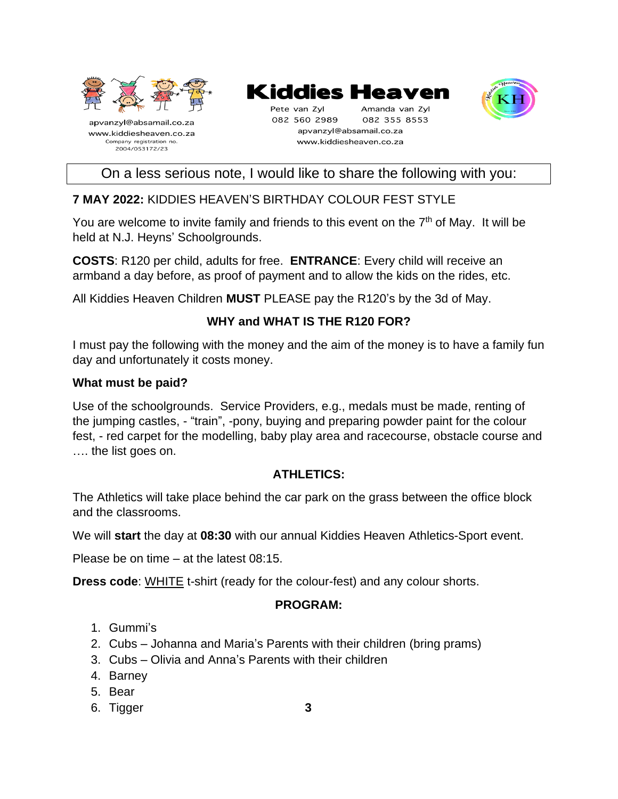

# Kiddies Heaven

Pete van Zyl Amanda van Zyl 082 560 2989 082 355 8553 apvanzyl@absamail.co.za www.kiddiesheaven.co.za



On a less serious note, I would like to share the following with you:

# **7 MAY 2022:** KIDDIES HEAVEN'S BIRTHDAY COLOUR FEST STYLE

You are welcome to invite family and friends to this event on the 7<sup>th</sup> of May. It will be held at N.J. Heyns' Schoolgrounds.

**COSTS**: R120 per child, adults for free. **ENTRANCE**: Every child will receive an armband a day before, as proof of payment and to allow the kids on the rides, etc.

All Kiddies Heaven Children **MUST** PLEASE pay the R120's by the 3d of May.

# **WHY and WHAT IS THE R120 FOR?**

I must pay the following with the money and the aim of the money is to have a family fun day and unfortunately it costs money.

#### **What must be paid?**

Use of the schoolgrounds. Service Providers, e.g., medals must be made, renting of the jumping castles, - "train", -pony, buying and preparing powder paint for the colour fest, - red carpet for the modelling, baby play area and racecourse, obstacle course and …. the list goes on.

### **ATHLETICS:**

The Athletics will take place behind the car park on the grass between the office block and the classrooms.

We will **start** the day at **08:30** with our annual Kiddies Heaven Athletics-Sport event.

Please be on time – at the latest 08:15.

**Dress code**: WHITE t-shirt (ready for the colour-fest) and any colour shorts.

### **PROGRAM:**

- 1. Gummi's
- 2. Cubs Johanna and Maria's Parents with their children (bring prams)
- 3. Cubs Olivia and Anna's Parents with their children
- 4. Barney
- 5. Bear
- 6. Tigger **3**